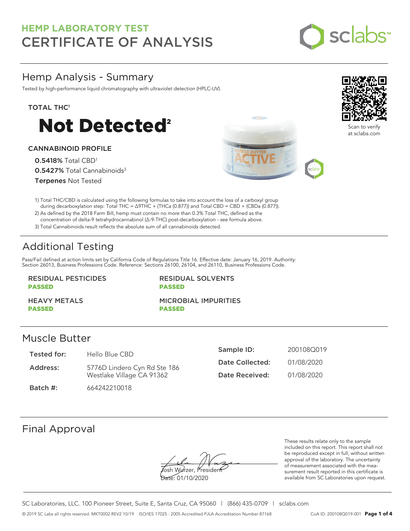

## Hemp Analysis - Summary

Tested by high-performance liquid chromatography with ultraviolet detection (HPLC-UV).

TOTAL THC<sup>1</sup>



#### CANNABINOID PROFILE

0.5418% Total CBD<sup>1</sup> 0.5427% Total Cannabinoids<sup>3</sup> Terpenes Not Tested





Scan to verify at sclabs.com

1) Total THC/CBD is calculated using the following formulas to take into account the loss of a carboxyl group during decarboxylation step: Total THC = ∆9THC + (THCa (0.877)) and Total CBD = CBD + (CBDa (0.877)).

2) As defined by the 2018 Farm Bill, hemp must contain no more than 0.3% Total THC, defined as the concentration of delta-9 tetrahydrocannabinol (Δ-9-THC) post-decarboxylation - see formula above.

3) Total Cannabinoids result reflects the absolute sum of all cannabinoids detected.

# Additional Testing

Pass/Fail defined at action limits set by California Code of Regulations Title 16. Effective date: January 16, 2019. Authority: Section 26013, Business Professions Code. Reference: Sections 26100, 26104, and 26110, Business Professions Code.

#### RESIDUAL PESTICIDES PASSED

RESIDUAL SOLVENTS PASSED

HEAVY METALS PASSED

MICROBIAL IMPURITIES PASSED

### Muscle Butter

| Tested for: | Hello Blue CBD               | Sample ID:      | 200108Q019 |
|-------------|------------------------------|-----------------|------------|
| Address:    | 5776D Lindero Cyn Rd Ste 186 | Date Collected: | 01/08/2020 |
|             | Westlake Village CA 91362    | Date Received:  | 01/08/2020 |
| Batch #:    | 664242210018                 |                 |            |

### Final Approval

Yosh Wurzer, Presiden

Date: 01/10/2020

These results relate only to the sample included on this report. This report shall not be reproduced except in full, without written approval of the laboratory. The uncertainty of measurement associated with the measurement result reported in this certificate is available from SC Laboratories upon request.

SC Laboratories, LLC. 100 Pioneer Street, Suite E, Santa Cruz, CA 95060 | (866) 435-0709 | sclabs.com © 2019 SC Labs all rights reserved. MKT0002 REV2 10/19 ISO/IES 17025 : 2005 Accredited PJLA Accreditation Number 87168 CoA ID: 200108Q019-001 **Page 1 of 4**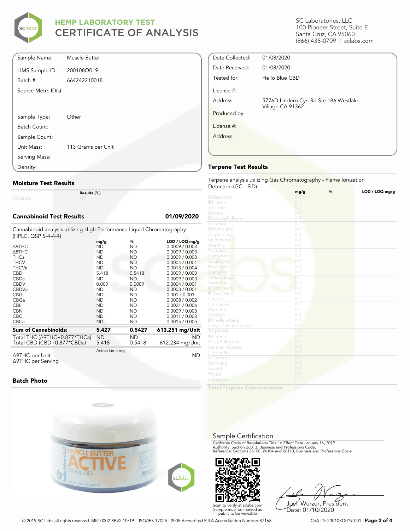

| Sample Name:        | Muscle Butter      |
|---------------------|--------------------|
| LIMS Sample ID:     | 200108Q019         |
| Batch #:            | 664242210018       |
| Source Metrc ID(s): |                    |
|                     |                    |
| Sample Type:        | Other              |
| Batch Count:        |                    |
| Sample Count:       |                    |
| Unit Mass:          | 113 Grams per Unit |
| Serving Mass:       |                    |
| Density:            |                    |

#### **Moisture Test Results**

Moisture

**Results (%)**

#### **Cannabinoid Test Results 01/09/2020**

Cannabinoid analysis utilizing High Performance Liquid Chromatography (HPLC, QSP 5-4-4-4)

|                                                |  | mg/g            | %         | $LOD / LOQ$ mg/g |
|------------------------------------------------|--|-----------------|-----------|------------------|
| ∆9THC                                          |  | ND              | <b>ND</b> | 0.0009 / 0.003   |
| $\triangle$ 8THC                               |  | <b>ND</b>       | <b>ND</b> | 0.0009 / 0.003   |
| <b>THCa</b>                                    |  | <b>ND</b>       | ND.       | 0.0009 / 0.003   |
| <b>THCV</b>                                    |  | <b>ND</b>       | ND        | 0.0004 / 0.001   |
| <b>THCVa</b>                                   |  | <b>ND</b>       | <b>ND</b> | 0.0013 / 0.004   |
| <b>CBD</b>                                     |  | 5.418           | 0.5418    | 0.0009 / 0.003   |
| <b>CBDa</b>                                    |  | <b>ND</b>       | <b>ND</b> | 0.0009 / 0.003   |
| <b>CBDV</b>                                    |  | 0.009           | 0.0009    | 0.0004 / 0.001   |
| <b>CBDVa</b>                                   |  | <b>ND</b>       | <b>ND</b> | 0.0003 / 0.001   |
| <b>CBG</b>                                     |  | <b>ND</b>       | <b>ND</b> | 0.001 / 0.003    |
| <b>CBGa</b>                                    |  | <b>ND</b>       | <b>ND</b> | 0.0008 / 0.002   |
| <b>CBL</b>                                     |  | <b>ND</b>       | ND        | 0.0021 / 0.006   |
| <b>CBN</b>                                     |  | <b>ND</b>       | <b>ND</b> | 0.0009 / 0.003   |
| <b>CBC</b>                                     |  | <b>ND</b>       | <b>ND</b> | 0.0011 / 0.003   |
| <b>CBCa</b>                                    |  | <b>ND</b>       | <b>ND</b> | 0.0015 / 0.005   |
| <b>Sum of Cannabinoids:</b><br>5.427<br>0.5427 |  |                 |           | 613.251 mg/Unit  |
| Total THC ( $\triangle$ 9THC+0.877*THCa)       |  | ND              | <b>ND</b> | <b>ND</b>        |
| Total CBD (CBD+0.877*CBDa)                     |  | 5.418           | 0.5418    | 612.234 mg/Unit  |
| Δ9THC per Unit                                 |  | Action Limit mg |           | ΝD               |
|                                                |  |                 |           |                  |

Δ9THC per Unit Δ9THC per Serving

#### **Batch Photo**



SC Laboratories, LLC 100 Pioneer Street, Suite E Santa Cruz, CA 95060 (866) 435-0709 | sclabs.com

| Date Collected: | 01/08/2020                                                |  |
|-----------------|-----------------------------------------------------------|--|
| Date Received:  | 01/08/2020                                                |  |
| Tested for:     | Hello Blue CBD                                            |  |
| License #:      |                                                           |  |
| Address:        | 5776D Lindero Cyn Rd Ste 186 Westlake<br>Village CA 91362 |  |
| Produced by:    |                                                           |  |
| License #:      |                                                           |  |
| Address:        |                                                           |  |
|                 |                                                           |  |
|                 |                                                           |  |

#### **Terpene Test Results**

Terpene analysis utilizing Gas Chromatography - Flame Ionization Detection (GC - FID)

|                           | mg/g | % | LOD / LOQ mg/g |
|---------------------------|------|---|----------------|
| 2 Bisabolol               | NT   |   |                |
| 2 Pinene                  | NT   |   |                |
| 3 Carene                  | NT   |   |                |
| Borneol                   | NT   |   |                |
| 2 Caryophyllene           | NT   |   |                |
| Geraniol                  | NT   |   |                |
| 2 Humulene                | NT   |   |                |
| Terpinolene               | NT   |   |                |
| Valencene                 | NT   |   |                |
| Menthol                   | NT   |   |                |
| Nerolidol                 | ÑT   |   |                |
| Camphene                  | NT   |   |                |
| Eucalyptol                | NT   |   |                |
| 2 Cedrene                 | NT   |   |                |
| Camphor                   | NT   |   |                |
| (-)-Isopulegol            | NT   |   |                |
| Sabinene                  | NT   |   |                |
| 2 Terpinene               | NT   |   |                |
| <b>7</b> Terpinene        | NT   |   |                |
| Linalool                  | NT   |   |                |
| Limonene                  | NT   |   |                |
| Myrcene                   | NT   |   |                |
| Fenchol                   | NT   |   |                |
| <sup>2</sup> Phellandrene | NT   |   |                |
| Caryophyllene Oxide       | NT   |   |                |
| Terpineol                 | NT   |   |                |
| 2 Pinene                  | NT   |   |                |
| R-(+)-Pulegone            | NT   |   |                |
| Geranyl Acetate           | NT   |   |                |
| Citronellol               | NT   |   |                |
| p-Cymene                  | NT   |   |                |
| Ocimene                   | NT   |   |                |
| Guaiol                    | NT   |   |                |
| Phytol                    | NT   |   |                |
| Isoborneol                | NT   |   |                |
|                           |      |   |                |

**Total Terpene Concentration:**

#### Sample Certification

California Code of Regulations Title 16 Effect Date January 16, 2019<br>Authority: Section 26013, Business and Professions Code.<br>Reference: Sections 26100, 26104 and 26110, Business and Professions Code.



Josh Wurzer, President Date: 01/10/2020

© 2019 SC Labs all rights reserved. MKT0002 REV2 10/19 ISO/IES 17025 : 2005 Accredited PJLA Accreditation Number 87168 CoA ID: 200108Q019-001 **Page 2 of 4**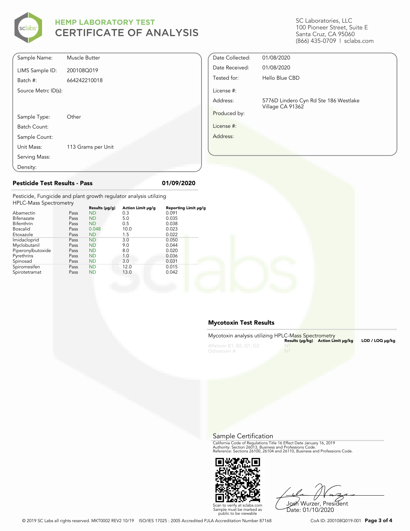

| SC Laboratories, LLC        |
|-----------------------------|
| 100 Pioneer Street, Suite E |
| Santa Cruz, CA 95060        |
| (866) 435-0709   sclabs.com |

| Sample Name:        | Muscle Butter      |
|---------------------|--------------------|
| LIMS Sample ID:     | 200108Q019         |
| Batch #:            | 664242210018       |
| Source Metrc ID(s): |                    |
|                     |                    |
|                     |                    |
| Sample Type:        | Other              |
| Batch Count:        |                    |
| Sample Count:       |                    |
| Unit Mass:          | 113 Grams per Unit |
| Serving Mass:       |                    |
| Density:            |                    |

| Date Collected: | 01/08/2020                            |  |
|-----------------|---------------------------------------|--|
| Date Received:  | 01/08/2020                            |  |
| Tested for:     | Hello Blue CBD                        |  |
| License #:      |                                       |  |
| Address:        | 5776D Lindero Cyn Rd Ste 186 Westlake |  |
| Produced by:    | Village CA 91362                      |  |
| License #:      |                                       |  |
| Address:        |                                       |  |
|                 |                                       |  |

**Pesticide Test Results - Pass 01/09/2020**

Pesticide, Fungicide and plant growth regulator analysis utilizing  $H<sub>1</sub>$ 

| <b>HPLC-Mass Spectrometry</b> |      |                |                   |                      |  |
|-------------------------------|------|----------------|-------------------|----------------------|--|
|                               |      | Results (µg/g) | Action Limit µg/g | Reporting Limit µg/g |  |
| Abamectin                     | Pass | <b>ND</b>      | 0.3               | 0.091                |  |
| Bifenazate                    | Pass | <b>ND</b>      | 5.0               | 0.035                |  |
| Bifenthrin                    | Pass | <b>ND</b>      | 0.5               | 0.038                |  |
| <b>Boscalid</b>               | Pass | 0.048          | 10.0              | 0.023                |  |
| Etoxazole                     | Pass | <b>ND</b>      | 1.5               | 0.022                |  |
| Imidacloprid                  | Pass | <b>ND</b>      | 3.0               | 0.050                |  |
| Myclobutanil                  | Pass | <b>ND</b>      | 9.0               | 0.044                |  |
| Piperonylbutoxide             | Pass | <b>ND</b>      | 8.0               | 0.020                |  |
| Pyrethrins                    | Pass | <b>ND</b>      | 1.0               | 0.036                |  |
| Spinosad                      | Pass | <b>ND</b>      | 3.0               | 0.031                |  |
| Spiromesifen                  | Pass | <b>ND</b>      | 12.0              | 0.015                |  |
| Spirotetramat                 | Pass | <b>ND</b>      | 13.0              | 0.042                |  |
|                               |      |                |                   |                      |  |

#### **Mycotoxin Test Results**

| Mycotoxin analysis utilizing HPLC-Mass Spectrometry |       | Results (µq/kq) Action Limit µq/kq | $LOD / LOQ \mu q/kg$ |
|-----------------------------------------------------|-------|------------------------------------|----------------------|
| Aflatoxin B1, B2, G1, G2<br>Ochratoxin A            | $-NT$ |                                    |                      |

Sample Certification

California Code of Regulations Title 16 Effect Date January 16, 2019<br>Authority: Section 26013, Business and Professions Code.<br>Reference: Sections 26100, 26104 and 26110, Business and Professions Code.



Josh Wurzer, President

Date: 01/10/2020

Scan to verify at sclabs.com Sample must be marked as public to be viewable

© 2019 SC Labs all rights reserved. MKT0002 REV2 10/19 ISO/IES 17025 : 2005 Accredited PJLA Accreditation Number 87168 CoA ID: 200108Q019-001 **Page 3 of 4**